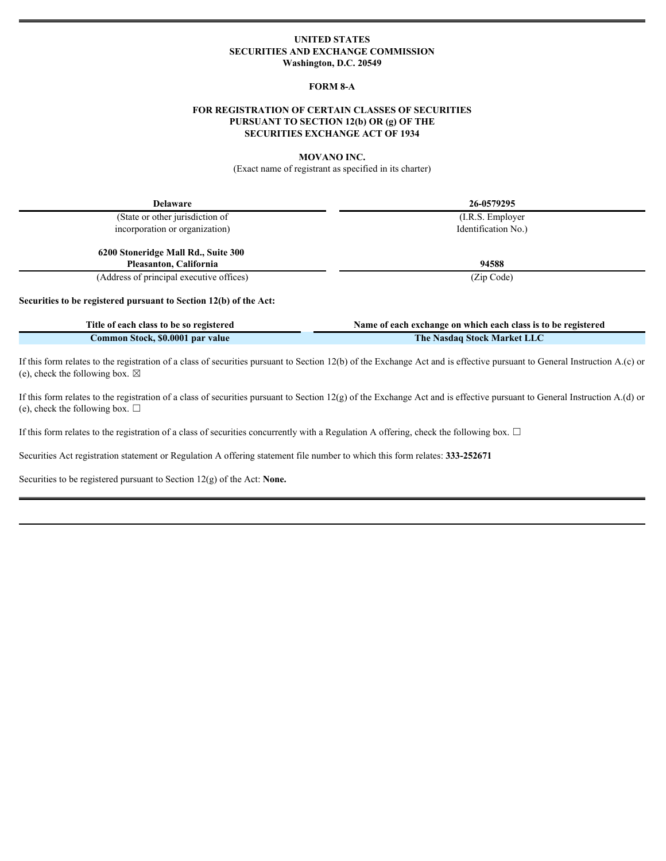# **UNITED STATES SECURITIES AND EXCHANGE COMMISSION Washington, D.C. 20549**

## **FORM 8-A**

# **FOR REGISTRATION OF CERTAIN CLASSES OF SECURITIES PURSUANT TO SECTION 12(b) OR (g) OF THE SECURITIES EXCHANGE ACT OF 1934**

### **MOVANO INC.**

(Exact name of registrant as specified in its charter)

| <b>Delaware</b>                                                   | 26-0579295                                                    |  |
|-------------------------------------------------------------------|---------------------------------------------------------------|--|
| (State or other jurisdiction of                                   | $(I.R.S.$ Employer                                            |  |
| incorporation or organization)                                    | Identification No.)                                           |  |
| 6200 Stoneridge Mall Rd., Suite 300                               |                                                               |  |
| Pleasanton, California                                            | 94588                                                         |  |
| (Address of principal executive offices)                          | (Zip Code)                                                    |  |
| Securities to be registered pursuant to Section 12(b) of the Act: |                                                               |  |
| Title of each class to be so registered                           | Name of each exchange on which each class is to be registered |  |
| Common Stock, \$0.0001 par value                                  | The Nasdaq Stock Market LLC                                   |  |

If this form relates to the registration of a class of securities pursuant to Section 12(b) of the Exchange Act and is effective pursuant to General Instruction A.(c) or (e), check the following box.  $\boxtimes$ 

If this form relates to the registration of a class of securities pursuant to Section 12(g) of the Exchange Act and is effective pursuant to General Instruction A.(d) or (e), check the following box.  $\Box$ 

If this form relates to the registration of a class of securities concurrently with a Regulation A offering, check the following box.  $\Box$ 

Securities Act registration statement or Regulation A offering statement file number to which this form relates: **333-252671**

Securities to be registered pursuant to Section 12(g) of the Act: **None.**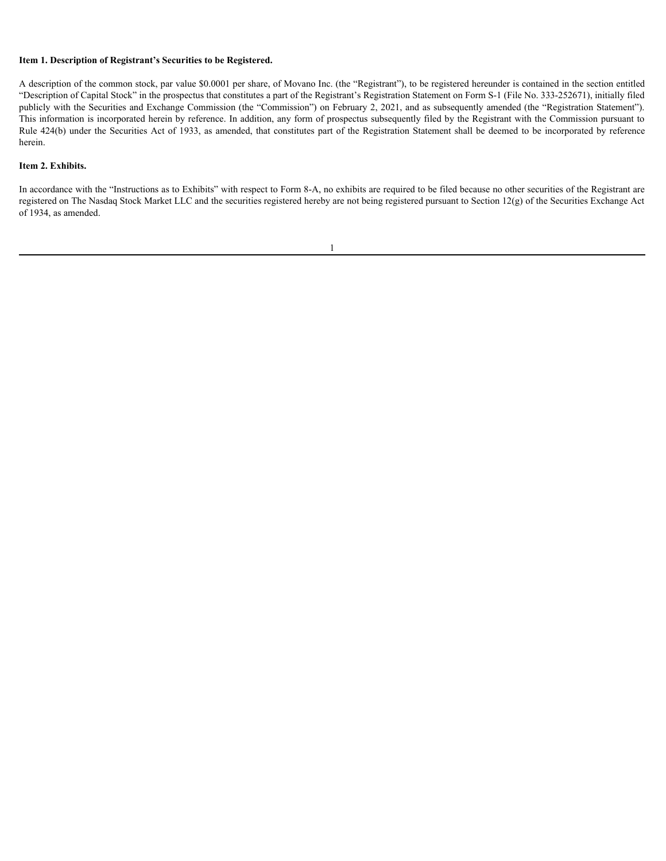## **Item 1. Description of Registrant's Securities to be Registered.**

A description of the common stock, par value \$0.0001 per share, of Movano Inc. (the "Registrant"), to be registered hereunder is contained in the section entitled "Description of Capital Stock" in the prospectus that constitutes a part of the Registrant's Registration Statement on Form S-1 (File No. 333-252671), initially filed publicly with the Securities and Exchange Commission (the "Commission") on February 2, 2021, and as subsequently amended (the "Registration Statement"). This information is incorporated herein by reference. In addition, any form of prospectus subsequently filed by the Registrant with the Commission pursuant to Rule 424(b) under the Securities Act of 1933, as amended, that constitutes part of the Registration Statement shall be deemed to be incorporated by reference herein.

#### **Item 2. Exhibits.**

In accordance with the "Instructions as to Exhibits" with respect to Form 8-A, no exhibits are required to be filed because no other securities of the Registrant are registered on The Nasdaq Stock Market LLC and the securities registered hereby are not being registered pursuant to Section 12(g) of the Securities Exchange Act of 1934, as amended.